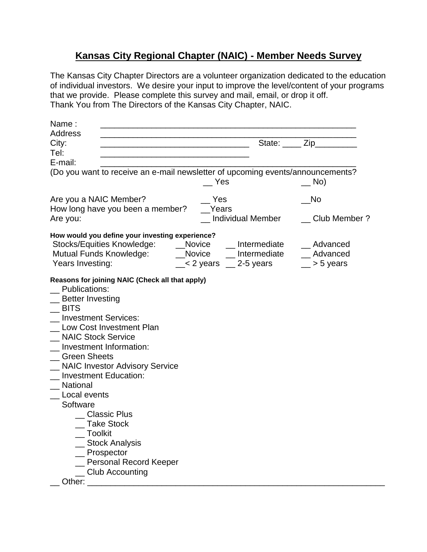## **Kansas City Regional Chapter (NAIC) - Member Needs Survey**

The Kansas City Chapter Directors are a volunteer organization dedicated to the education of individual investors. We desire your input to improve the level/content of your programs that we provide. Please complete this survey and mail, email, or drop it off. Thank You from The Directors of the Kansas City Chapter, NAIC.

| <b>Address</b>                                                                                                                                                                                                                                                                                                                                                             |                |
|----------------------------------------------------------------------------------------------------------------------------------------------------------------------------------------------------------------------------------------------------------------------------------------------------------------------------------------------------------------------------|----------------|
| City:                                                                                                                                                                                                                                                                                                                                                                      | State: Zip     |
| Tel:<br>the control of the control of the control of the control of the control of the control of                                                                                                                                                                                                                                                                          |                |
| E-mail:                                                                                                                                                                                                                                                                                                                                                                    |                |
| (Do you want to receive an e-mail newsletter of upcoming events/announcements?                                                                                                                                                                                                                                                                                             |                |
| Yes                                                                                                                                                                                                                                                                                                                                                                        | $\equiv$ No)   |
| Are you a NAIC Member?<br>Yes                                                                                                                                                                                                                                                                                                                                              | No             |
| How long have you been a member?<br>Years                                                                                                                                                                                                                                                                                                                                  |                |
| Individual Member<br>Are you:                                                                                                                                                                                                                                                                                                                                              | _ Club Member? |
| How would you define your investing experience?                                                                                                                                                                                                                                                                                                                            |                |
|                                                                                                                                                                                                                                                                                                                                                                            | __ Advanced    |
|                                                                                                                                                                                                                                                                                                                                                                            | _ Advanced     |
| Years Investing:<br>$\ge$ 2 years $\ge$ 2-5 years                                                                                                                                                                                                                                                                                                                          | > 5 years      |
| _ Better Investing<br><b>BITS</b><br><b>Investment Services:</b><br>Low Cost Investment Plan<br><b>NAIC Stock Service</b><br>Investment Information:<br><b>Green Sheets</b><br><b>NAIC Investor Advisory Service</b><br><b>Investment Education:</b><br><b>National</b><br>Local events<br>Software<br>Classic Plus<br><b>Take Stock</b><br>__ Toolkit<br>_ Stock Analysis |                |